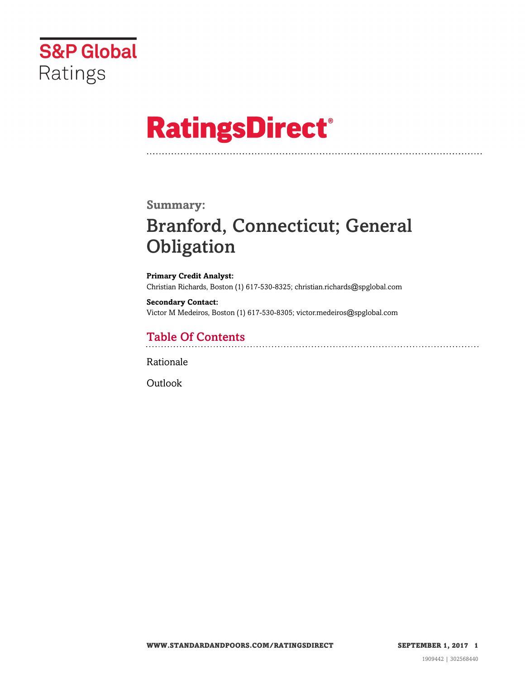

# **RatingsDirect®**

### **Summary:**

# Branford, Connecticut; General **Obligation**

**Primary Credit Analyst:** Christian Richards, Boston (1) 617-530-8325; christian.richards@spglobal.com

**Secondary Contact:** Victor M Medeiros, Boston (1) 617-530-8305; victor.medeiros@spglobal.com

# Table Of Contents

[Rationale](#page-1-0)

[Outlook](#page-5-0)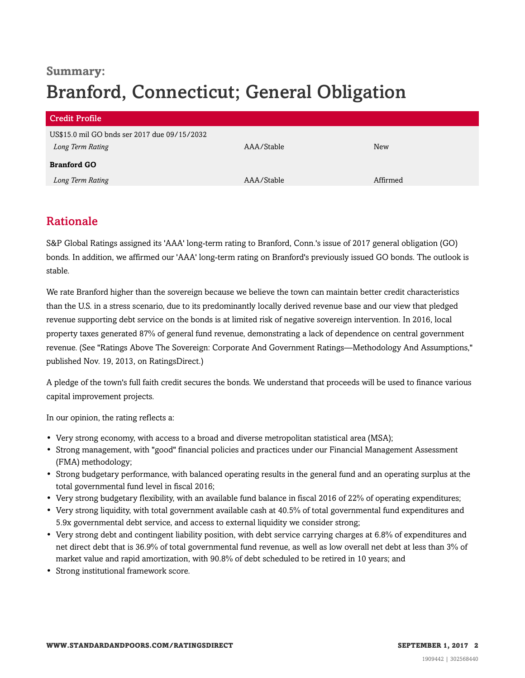# **Summary:** Branford, Connecticut; General Obligation

| <b>Credit Profile</b>                        |            |          |
|----------------------------------------------|------------|----------|
| US\$15.0 mil GO bnds ser 2017 due 09/15/2032 |            |          |
| Long Term Rating                             | AAA/Stable | New      |
| <b>Branford GO</b>                           |            |          |
| Long Term Rating                             | AAA/Stable | Affirmed |

### <span id="page-1-0"></span>Rationale

S&P Global Ratings assigned its 'AAA' long-term rating to Branford, Conn.'s issue of 2017 general obligation (GO) bonds. In addition, we affirmed our 'AAA' long-term rating on Branford's previously issued GO bonds. The outlook is stable.

We rate Branford higher than the sovereign because we believe the town can maintain better credit characteristics than the U.S. in a stress scenario, due to its predominantly locally derived revenue base and our view that pledged revenue supporting debt service on the bonds is at limited risk of negative sovereign intervention. In 2016, local property taxes generated 87% of general fund revenue, demonstrating a lack of dependence on central government revenue. (See "Ratings Above The Sovereign: Corporate And Government Ratings—Methodology And Assumptions," published Nov. 19, 2013, on RatingsDirect.)

A pledge of the town's full faith credit secures the bonds. We understand that proceeds will be used to finance various capital improvement projects.

In our opinion, the rating reflects a:

- Very strong economy, with access to a broad and diverse metropolitan statistical area (MSA);
- Strong management, with "good" financial policies and practices under our Financial Management Assessment (FMA) methodology;
- Strong budgetary performance, with balanced operating results in the general fund and an operating surplus at the total governmental fund level in fiscal 2016;
- Very strong budgetary flexibility, with an available fund balance in fiscal 2016 of 22% of operating expenditures;
- Very strong liquidity, with total government available cash at 40.5% of total governmental fund expenditures and 5.9x governmental debt service, and access to external liquidity we consider strong;
- Very strong debt and contingent liability position, with debt service carrying charges at 6.8% of expenditures and net direct debt that is 36.9% of total governmental fund revenue, as well as low overall net debt at less than 3% of market value and rapid amortization, with 90.8% of debt scheduled to be retired in 10 years; and
- Strong institutional framework score.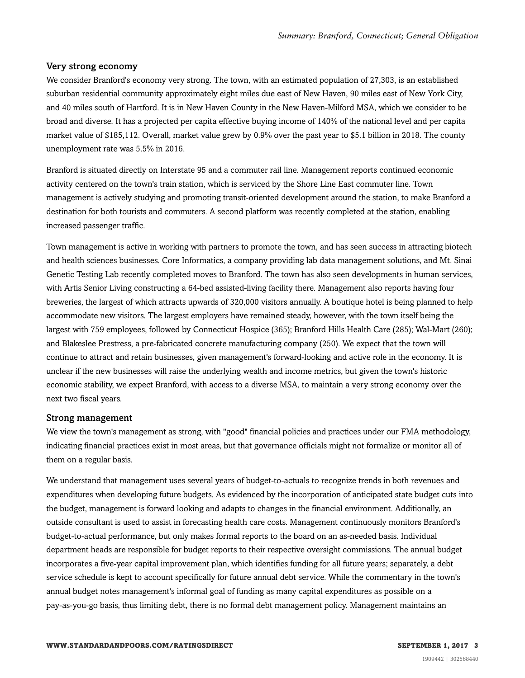#### Very strong economy

We consider Branford's economy very strong. The town, with an estimated population of 27,303, is an established suburban residential community approximately eight miles due east of New Haven, 90 miles east of New York City, and 40 miles south of Hartford. It is in New Haven County in the New Haven-Milford MSA, which we consider to be broad and diverse. It has a projected per capita effective buying income of 140% of the national level and per capita market value of \$185,112. Overall, market value grew by 0.9% over the past year to \$5.1 billion in 2018. The county unemployment rate was 5.5% in 2016.

Branford is situated directly on Interstate 95 and a commuter rail line. Management reports continued economic activity centered on the town's train station, which is serviced by the Shore Line East commuter line. Town management is actively studying and promoting transit-oriented development around the station, to make Branford a destination for both tourists and commuters. A second platform was recently completed at the station, enabling increased passenger traffic.

Town management is active in working with partners to promote the town, and has seen success in attracting biotech and health sciences businesses. Core Informatics, a company providing lab data management solutions, and Mt. Sinai Genetic Testing Lab recently completed moves to Branford. The town has also seen developments in human services, with Artis Senior Living constructing a 64-bed assisted-living facility there. Management also reports having four breweries, the largest of which attracts upwards of 320,000 visitors annually. A boutique hotel is being planned to help accommodate new visitors. The largest employers have remained steady, however, with the town itself being the largest with 759 employees, followed by Connecticut Hospice (365); Branford Hills Health Care (285); Wal-Mart (260); and Blakeslee Prestress, a pre-fabricated concrete manufacturing company (250). We expect that the town will continue to attract and retain businesses, given management's forward-looking and active role in the economy. It is unclear if the new businesses will raise the underlying wealth and income metrics, but given the town's historic economic stability, we expect Branford, with access to a diverse MSA, to maintain a very strong economy over the next two fiscal years.

#### Strong management

We view the town's management as strong, with "good" financial policies and practices under our FMA methodology, indicating financial practices exist in most areas, but that governance officials might not formalize or monitor all of them on a regular basis.

We understand that management uses several years of budget-to-actuals to recognize trends in both revenues and expenditures when developing future budgets. As evidenced by the incorporation of anticipated state budget cuts into the budget, management is forward looking and adapts to changes in the financial environment. Additionally, an outside consultant is used to assist in forecasting health care costs. Management continuously monitors Branford's budget-to-actual performance, but only makes formal reports to the board on an as-needed basis. Individual department heads are responsible for budget reports to their respective oversight commissions. The annual budget incorporates a five-year capital improvement plan, which identifies funding for all future years; separately, a debt service schedule is kept to account specifically for future annual debt service. While the commentary in the town's annual budget notes management's informal goal of funding as many capital expenditures as possible on a pay-as-you-go basis, thus limiting debt, there is no formal debt management policy. Management maintains an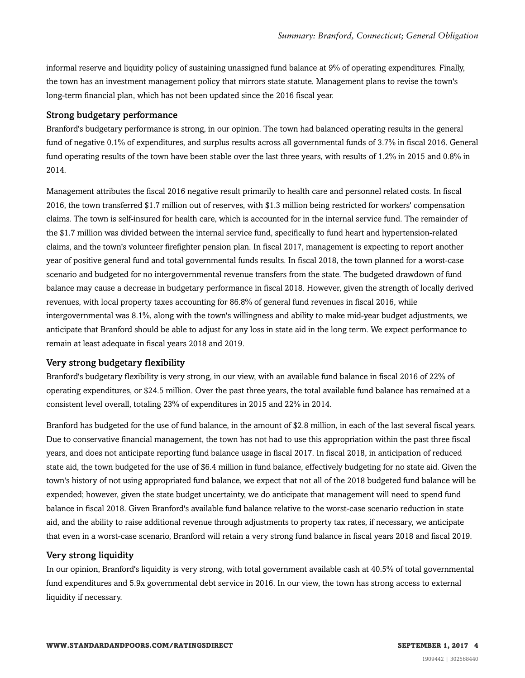informal reserve and liquidity policy of sustaining unassigned fund balance at 9% of operating expenditures. Finally, the town has an investment management policy that mirrors state statute. Management plans to revise the town's long-term financial plan, which has not been updated since the 2016 fiscal year.

#### Strong budgetary performance

Branford's budgetary performance is strong, in our opinion. The town had balanced operating results in the general fund of negative 0.1% of expenditures, and surplus results across all governmental funds of 3.7% in fiscal 2016. General fund operating results of the town have been stable over the last three years, with results of 1.2% in 2015 and 0.8% in 2014.

Management attributes the fiscal 2016 negative result primarily to health care and personnel related costs. In fiscal 2016, the town transferred \$1.7 million out of reserves, with \$1.3 million being restricted for workers' compensation claims. The town is self-insured for health care, which is accounted for in the internal service fund. The remainder of the \$1.7 million was divided between the internal service fund, specifically to fund heart and hypertension-related claims, and the town's volunteer firefighter pension plan. In fiscal 2017, management is expecting to report another year of positive general fund and total governmental funds results. In fiscal 2018, the town planned for a worst-case scenario and budgeted for no intergovernmental revenue transfers from the state. The budgeted drawdown of fund balance may cause a decrease in budgetary performance in fiscal 2018. However, given the strength of locally derived revenues, with local property taxes accounting for 86.8% of general fund revenues in fiscal 2016, while intergovernmental was 8.1%, along with the town's willingness and ability to make mid-year budget adjustments, we anticipate that Branford should be able to adjust for any loss in state aid in the long term. We expect performance to remain at least adequate in fiscal years 2018 and 2019.

#### Very strong budgetary flexibility

Branford's budgetary flexibility is very strong, in our view, with an available fund balance in fiscal 2016 of 22% of operating expenditures, or \$24.5 million. Over the past three years, the total available fund balance has remained at a consistent level overall, totaling 23% of expenditures in 2015 and 22% in 2014.

Branford has budgeted for the use of fund balance, in the amount of \$2.8 million, in each of the last several fiscal years. Due to conservative financial management, the town has not had to use this appropriation within the past three fiscal years, and does not anticipate reporting fund balance usage in fiscal 2017. In fiscal 2018, in anticipation of reduced state aid, the town budgeted for the use of \$6.4 million in fund balance, effectively budgeting for no state aid. Given the town's history of not using appropriated fund balance, we expect that not all of the 2018 budgeted fund balance will be expended; however, given the state budget uncertainty, we do anticipate that management will need to spend fund balance in fiscal 2018. Given Branford's available fund balance relative to the worst-case scenario reduction in state aid, and the ability to raise additional revenue through adjustments to property tax rates, if necessary, we anticipate that even in a worst-case scenario, Branford will retain a very strong fund balance in fiscal years 2018 and fiscal 2019.

#### Very strong liquidity

In our opinion, Branford's liquidity is very strong, with total government available cash at 40.5% of total governmental fund expenditures and 5.9x governmental debt service in 2016. In our view, the town has strong access to external liquidity if necessary.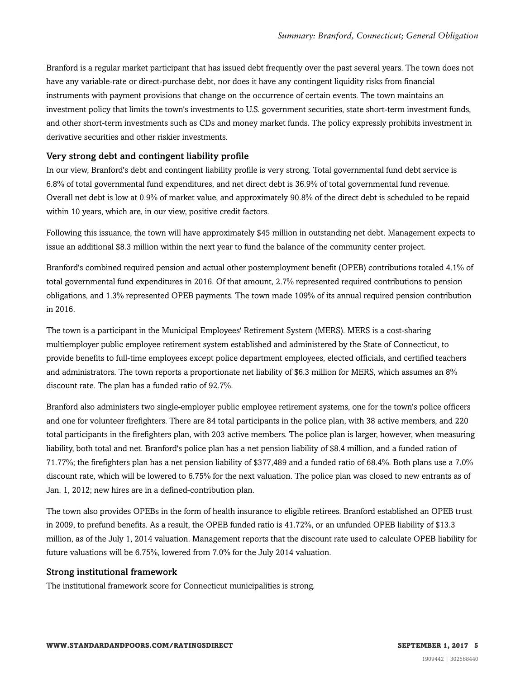Branford is a regular market participant that has issued debt frequently over the past several years. The town does not have any variable-rate or direct-purchase debt, nor does it have any contingent liquidity risks from financial instruments with payment provisions that change on the occurrence of certain events. The town maintains an investment policy that limits the town's investments to U.S. government securities, state short-term investment funds, and other short-term investments such as CDs and money market funds. The policy expressly prohibits investment in derivative securities and other riskier investments.

#### Very strong debt and contingent liability profile

In our view, Branford's debt and contingent liability profile is very strong. Total governmental fund debt service is 6.8% of total governmental fund expenditures, and net direct debt is 36.9% of total governmental fund revenue. Overall net debt is low at 0.9% of market value, and approximately 90.8% of the direct debt is scheduled to be repaid within 10 years, which are, in our view, positive credit factors.

Following this issuance, the town will have approximately \$45 million in outstanding net debt. Management expects to issue an additional \$8.3 million within the next year to fund the balance of the community center project.

Branford's combined required pension and actual other postemployment benefit (OPEB) contributions totaled 4.1% of total governmental fund expenditures in 2016. Of that amount, 2.7% represented required contributions to pension obligations, and 1.3% represented OPEB payments. The town made 109% of its annual required pension contribution in 2016.

The town is a participant in the Municipal Employees' Retirement System (MERS). MERS is a cost-sharing multiemployer public employee retirement system established and administered by the State of Connecticut, to provide benefits to full-time employees except police department employees, elected officials, and certified teachers and administrators. The town reports a proportionate net liability of \$6.3 million for MERS, which assumes an 8% discount rate. The plan has a funded ratio of 92.7%.

Branford also administers two single-employer public employee retirement systems, one for the town's police officers and one for volunteer firefighters. There are 84 total participants in the police plan, with 38 active members, and 220 total participants in the firefighters plan, with 203 active members. The police plan is larger, however, when measuring liability, both total and net. Branford's police plan has a net pension liability of \$8.4 million, and a funded ration of 71.77%; the firefighters plan has a net pension liability of \$377,489 and a funded ratio of 68.4%. Both plans use a 7.0% discount rate, which will be lowered to 6.75% for the next valuation. The police plan was closed to new entrants as of Jan. 1, 2012; new hires are in a defined-contribution plan.

The town also provides OPEBs in the form of health insurance to eligible retirees. Branford established an OPEB trust in 2009, to prefund benefits. As a result, the OPEB funded ratio is 41.72%, or an unfunded OPEB liability of \$13.3 million, as of the July 1, 2014 valuation. Management reports that the discount rate used to calculate OPEB liability for future valuations will be 6.75%, lowered from 7.0% for the July 2014 valuation.

#### Strong institutional framework

The institutional framework score for Connecticut municipalities is strong.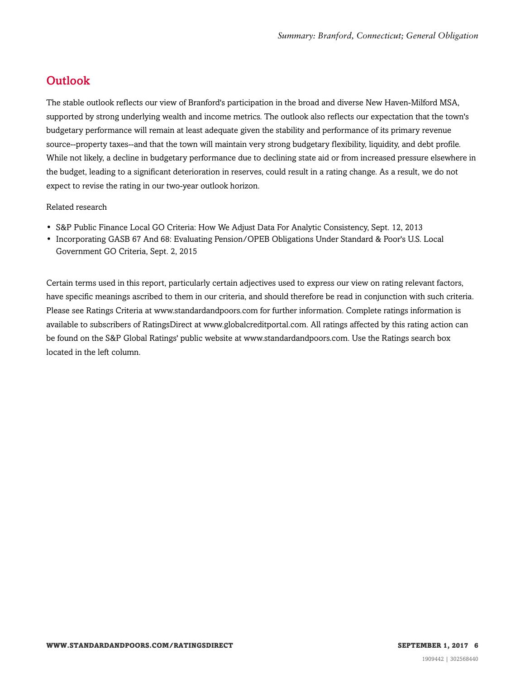## <span id="page-5-0"></span>**Outlook**

The stable outlook reflects our view of Branford's participation in the broad and diverse New Haven-Milford MSA, supported by strong underlying wealth and income metrics. The outlook also reflects our expectation that the town's budgetary performance will remain at least adequate given the stability and performance of its primary revenue source--property taxes--and that the town will maintain very strong budgetary flexibility, liquidity, and debt profile. While not likely, a decline in budgetary performance due to declining state aid or from increased pressure elsewhere in the budget, leading to a significant deterioration in reserves, could result in a rating change. As a result, we do not expect to revise the rating in our two-year outlook horizon.

#### Related research

- S&P Public Finance Local GO Criteria: How We Adjust Data For Analytic Consistency, Sept. 12, 2013
- Incorporating GASB 67 And 68: Evaluating Pension/OPEB Obligations Under Standard & Poor's U.S. Local Government GO Criteria, Sept. 2, 2015

Certain terms used in this report, particularly certain adjectives used to express our view on rating relevant factors, have specific meanings ascribed to them in our criteria, and should therefore be read in conjunction with such criteria. Please see Ratings Criteria at www.standardandpoors.com for further information. Complete ratings information is available to subscribers of RatingsDirect at www.globalcreditportal.com. All ratings affected by this rating action can be found on the S&P Global Ratings' public website at www.standardandpoors.com. Use the Ratings search box located in the left column.